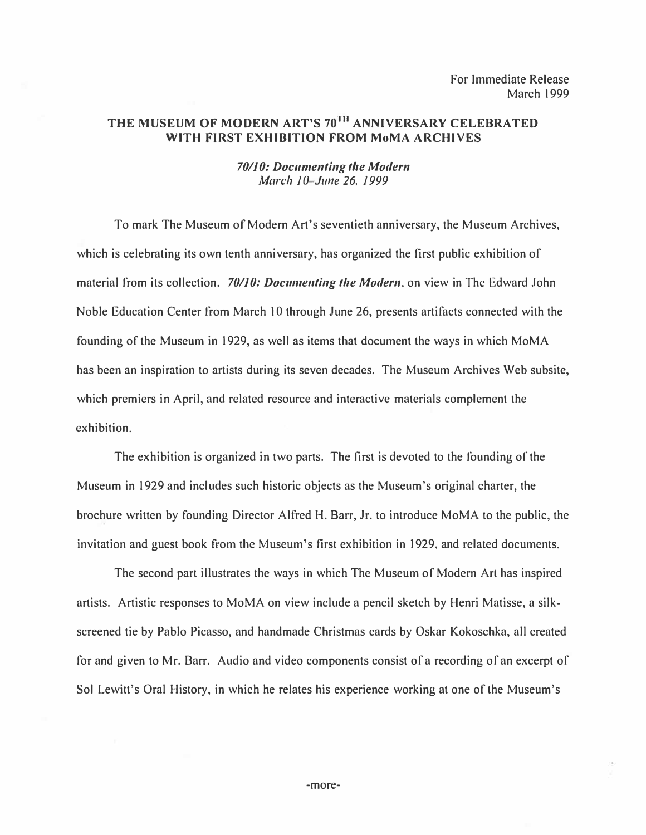## THE MUSEUM OF MODERN ART'S 70TH ANNIVERSARY CELEBRATED WITH FIRST EXHIBITION FROM MoMA ARCHIVES

## 70/10: Documenting the Modern March 10-June 26, 1999

To mark The Museum of Modern Art's seventieth anniversary, the Museum Archives, which is celebrating its own tenth anniversary, has organized the first public exhibition of material from its collection. 70/10: Documenting the Modern, on view in The Edward John Noble Education Center from March 10 through June 26, presents artifacts connected with the founding of the Museum in 1929, as well as items that document the ways in which MoMA has been an inspiration to artists during its seven decades. The Museum Archives Web subsite, which premiers in April, and related resource and interactive materials complement the exhibition.

The exhibition is organized in two parts. The first is devoted to the founding of the Museum in I 929 and includes such historic objects as the Museum's original charter, the brochure written by founding Director Alfred H. Barr, Jr. to introduce MoMA to the public, the invitation and guest book from the Museum's first exhibition in 1929, and related documents.

The second part illustrates the ways in which The Museum of Modern Art has inspired artists. Artistic responses to MoMA on view include a pencil sketch by Henri Matisse, a silkscreened tie by Pablo Picasso, and handmade Christmas cards by Oskar Kokoschka, all created for and given to Mr. Barr. Audio and video components consist of a recording of an excerpt of Sol Lewitt's Oral History, in which he relates his experience working at one of the Museum's